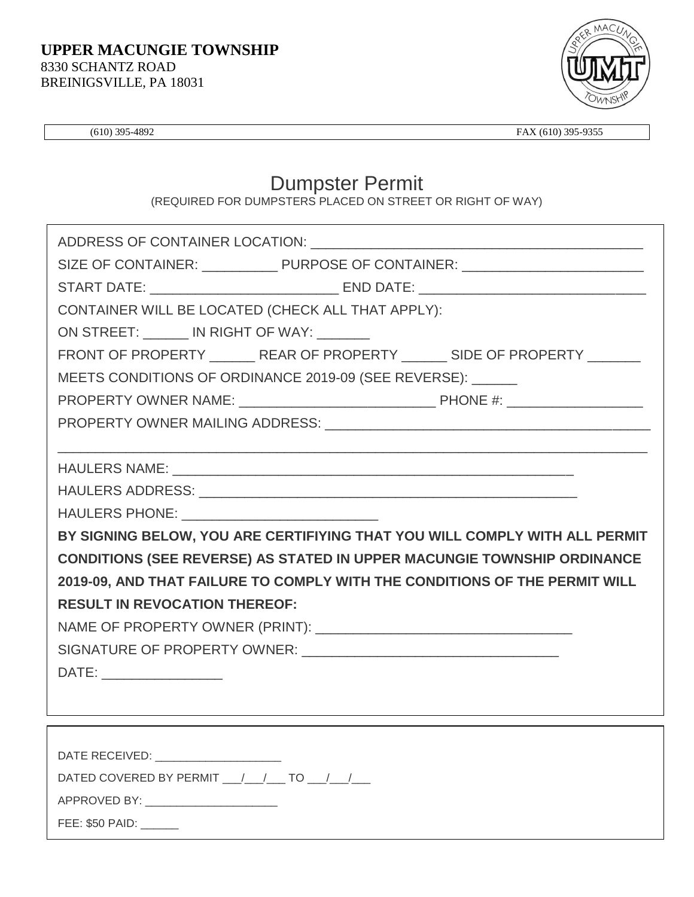

(610) 395-4892 FAX (610) 395-9355

## Dumpster Permit

(REQUIRED FOR DUMPSTERS PLACED ON STREET OR RIGHT OF WAY)

| SIZE OF CONTAINER: _______________ PURPOSE OF CONTAINER: _______________________                                                                                                                                               |
|--------------------------------------------------------------------------------------------------------------------------------------------------------------------------------------------------------------------------------|
|                                                                                                                                                                                                                                |
| CONTAINER WILL BE LOCATED (CHECK ALL THAT APPLY):                                                                                                                                                                              |
| ON STREET: IN RIGHT OF WAY:                                                                                                                                                                                                    |
| FRONT OF PROPERTY _________ REAR OF PROPERTY ________ SIDE OF PROPERTY ________                                                                                                                                                |
| MEETS CONDITIONS OF ORDINANCE 2019-09 (SEE REVERSE): ______                                                                                                                                                                    |
|                                                                                                                                                                                                                                |
| PROPERTY OWNER MAILING ADDRESS: University of the contract of the contract of the contract of the contract of the contract of the contract of the contract of the contract of the contract of the contract of the contract of  |
|                                                                                                                                                                                                                                |
|                                                                                                                                                                                                                                |
|                                                                                                                                                                                                                                |
| HAULERS PHONE: NAMEL AND RESERVE THE RESERVE THAN A STRING OF THE RESERVE THAN A STRING OF THE RESERVE THAN A STRING OF THE RESERVE THAN A STRING OF THE RESERVE THAN A STRING OF THE RESERVE THAN A STRING OF THE RESERVE THA |
| BY SIGNING BELOW, YOU ARE CERTIFIYING THAT YOU WILL COMPLY WITH ALL PERMIT                                                                                                                                                     |
| <b>CONDITIONS (SEE REVERSE) AS STATED IN UPPER MACUNGIE TOWNSHIP ORDINANCE</b>                                                                                                                                                 |
| 2019-09, AND THAT FAILURE TO COMPLY WITH THE CONDITIONS OF THE PERMIT WILL                                                                                                                                                     |
| <b>RESULT IN REVOCATION THEREOF:</b>                                                                                                                                                                                           |
|                                                                                                                                                                                                                                |
|                                                                                                                                                                                                                                |
| DATE: ___________________                                                                                                                                                                                                      |
|                                                                                                                                                                                                                                |
|                                                                                                                                                                                                                                |
|                                                                                                                                                                                                                                |
| DATE RECEIVED: _____________________                                                                                                                                                                                           |
| DATED COVERED BY PERMIT ___ /___ /___ TO ___ /___ /___                                                                                                                                                                         |
| APPROVED BY: _________________________                                                                                                                                                                                         |

FEE: \$50 PAID: \_\_\_\_\_\_